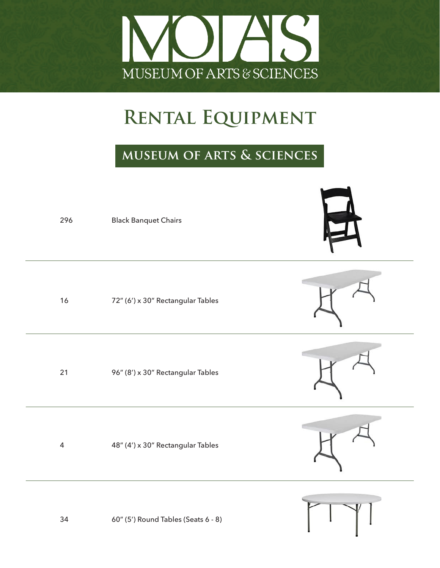

### **museum of arts & sciences**

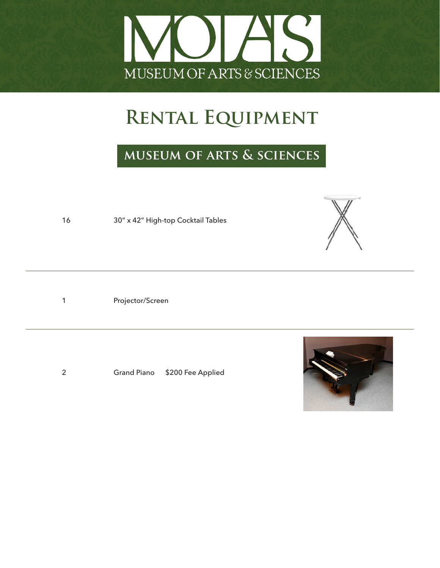

#### **museum of arts & sciences**

16 30" x 42" High-top Cocktail Tables

1 Projector/Screen

2 Grand Piano \$200 Fee Applied



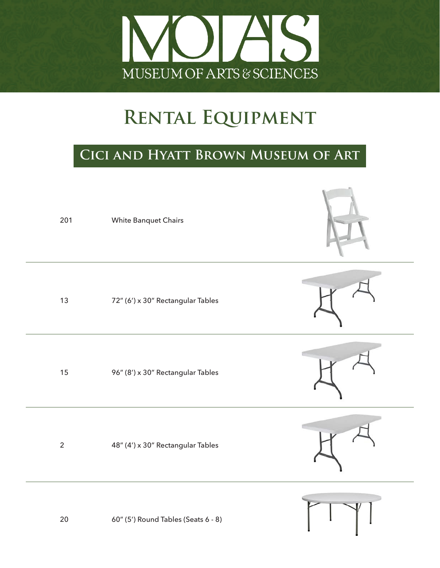

#### **Cici and Hyatt Brown Museum of Art**

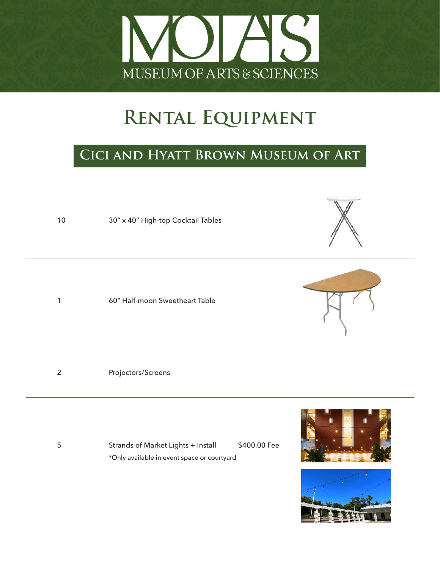

#### **Cici and Hyatt Brown Museum of Art**



5 Strands of Market Lights + Install \$400.00 Fee \*Only available in event space or courtyard

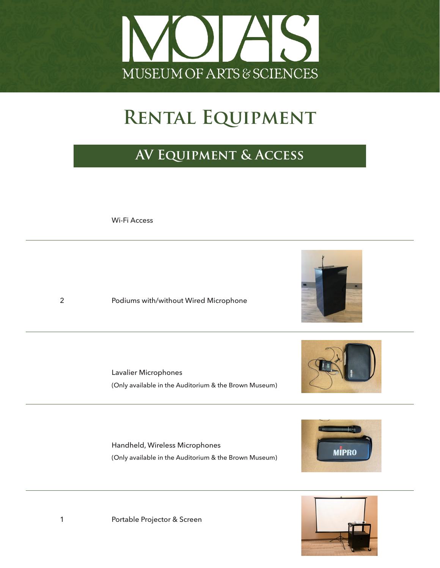

### **AV Equipment & Access**

Wi-Fi Access

2 Podiums with/without Wired Microphone

 Lavalier Microphones (Only available in the Auditorium & the Brown Museum)

 Handheld, Wireless Microphones (Only available in the Auditorium & the Brown Museum)





1 Portable Projector & Screen